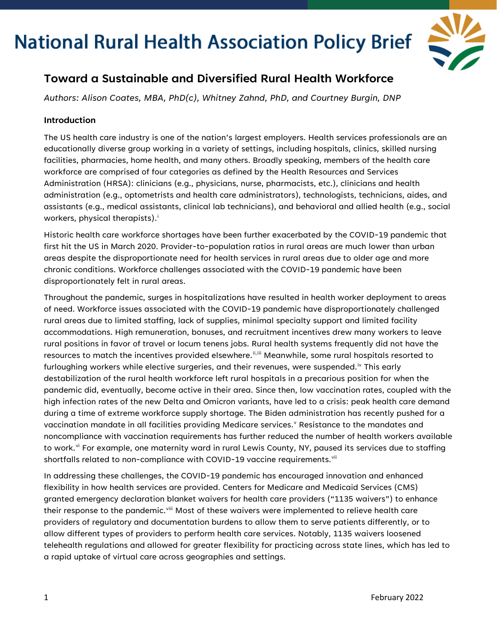

### **Toward a Sustainable and Diversified Rural Health Workforce**

*Authors: Alison Coates, MBA, PhD(c), Whitney Zahnd, PhD, and Courtney Burgin, DNP*

#### **Introduction**

The US health care industry is one of the nation's largest employers. Health services professionals are an educationally diverse group working in a variety of settings, including hospitals, clinics, skilled nursing facilities, pharmacies, home health, and many others. Broadly speaking, members of the health care workforce are comprised of four categories as defined by the Health Resources and Services Administration (HRSA): clinicians (e.g., physicians, nurse, pharmacists, etc.), clinicians and health administration (e.g., optometrists and health care administrators), technologists, technicians, aides, and assistants (e.g., medical assistants, clinical lab technicians), and behavioral and allied health (e.g., social workers, phys[i](#page-10-0)cal therapists).<sup>i</sup>

Historic health care workforce shortages have been further exacerbated by the COVID-19 pandemic that first hit the US in March 2020. Provider-to-population ratios in rural areas are much lower than urban areas despite the disproportionate need for health services in rural areas due to older age and more chronic conditions. Workforce challenges associated with the COVID-19 pandemic have been disproportionately felt in rural areas.

Throughout the pandemic, surges in hospitalizations have resulted in health worker deployment to areas of need. Workforce issues associated with the COVID-19 pandemic have disproportionately challenged rural areas due to limited staffing, lack of supplies, minimal specialty support and limited facility accommodations. High remuneration, bonuses, and recruitment incentives drew many workers to leave rural positions in favor of travel or locum tenens jobs. Rural health systems frequently did not have the resources to match the incentives provided elsewhere.<sup>[ii,](#page-10-1)[iii](#page-10-2)</sup> Meanwhile, some rural hospitals resorted to furloughing workers while elect[iv](#page-10-3)e surgeries, and their revenues, were suspended.<sup>iv</sup> This early destabilization of the rural health workforce left rural hospitals in a precarious position for when the pandemic did, eventually, become active in their area. Since then, low vaccination rates, coupled with the high infection rates of the new Delta and Omicron variants, have led to a crisis: peak health care demand during a time of extreme workforce supply shortage. The Biden administration has recently pushed for a [v](#page-10-4)accination mandate in all facilities providing Medicare services.<sup>v</sup> Resistance to the mandates and noncompliance with vaccination requirements has further reduced the number of health workers available to work.<sup>[vi](#page-10-5)</sup> For example, one maternity ward in rural Lewis County, NY, paused its services due to staffing shortfalls related to non-compliance with COVID-19 vaccine requirements.<sup>[vii](#page-10-6)</sup>

In addressing these challenges, the COVID-19 pandemic has encouraged innovation and enhanced flexibility in how health services are provided. Centers for Medicare and Medicaid Services (CMS) granted emergency declaration blanket waivers for health care providers ("1135 waivers") to enhance their response to the pandemic.<sup>[viii](#page-10-7)</sup> Most of these waivers were implemented to relieve health care providers of regulatory and documentation burdens to allow them to serve patients differently, or to allow different types of providers to perform health care services. Notably, 1135 waivers loosened telehealth regulations and allowed for greater flexibility for practicing across state lines, which has led to a rapid uptake of virtual care across geographies and settings.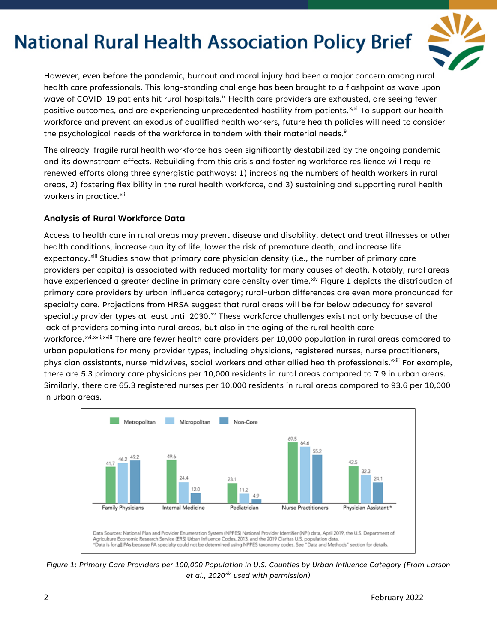

However, even before the pandemic, burnout and moral injury had been a major concern among rural health care professionals. This long-standing challenge has been brought to a flashpoint as wave upon wave of COVID-19 patients hit rural hospitals.<sup>ix</sup> Health care providers are exhausted, are seeing fewer positive outcomes, and are experiencing unprecedented hostility from patients.<sup>[x,](#page-10-9)[xi](#page-10-10)</sup> To support our health workforce and prevent an exodus of qualified health workers, future health policies will need to consider the psychological needs of the workforce in tandem with their material needs.<sup>9</sup>

The already-fragile rural health workforce has been significantly destabilized by the ongoing pandemic and its downstream effects. Rebuilding from this crisis and fostering workforce resilience will require renewed efforts along three synergistic pathways: 1) increasing the numbers of health workers in rural areas, 2) fostering flexibility in the rural health workforce, and 3) sustaining and supporting rural health workers in practice.<sup>[xii](#page-10-11)</sup>

#### **Analysis of Rural Workforce Data**

Access to health care in rural areas may prevent disease and disability, detect and treat illnesses or other health conditions, increase quality of life, lower the risk of premature death, and increase life expectancy.<sup>[xiii](#page-10-12)</sup> Studies show that primary care physician density (i.e., the number of primary care workforce.<sup>xv[i](#page-10-17),[xvii,](#page-10-16)xviii</sup> There are fewer health care providers per 10,000 population in rural areas compared to providers per capita) is associated with reduced mortality for many causes of death. Notably, rural areas have experienced a greater decline in primary care density over time. [xiv](#page-10-13) Figure 1 depicts the distribution of primary care providers by urban influence category; rural-urban differences are even more pronounced for specialty care. Projections from HRSA suggest that rural areas will be far below adequacy for several specialty provider types at least until 2030.<sup>[xv](#page-10-14)</sup> These workforce challenges exist not only because of the lack of providers coming into rural areas, but also in the aging of the rural health care urban populations for many provider types, including physicians, registered nurses, nurse practitioners, physician assistants, nurse midwives, social workers and other allied health professionals.<sup>vxiii</sup> For example, there are 5.3 primary care physicians per 10,000 residents in rural areas compared to 7.9 in urban areas. Similarly, there are 65.3 registered nurses per 10,000 residents in rural areas compared to 93.6 per 10,000 in urban areas.



*Figure 1: Primary Care Providers per 100,000 Population in U.S. Counties by Urban Influence Category (From Larson et al., 2020[xix](#page-10-18) used with permission)*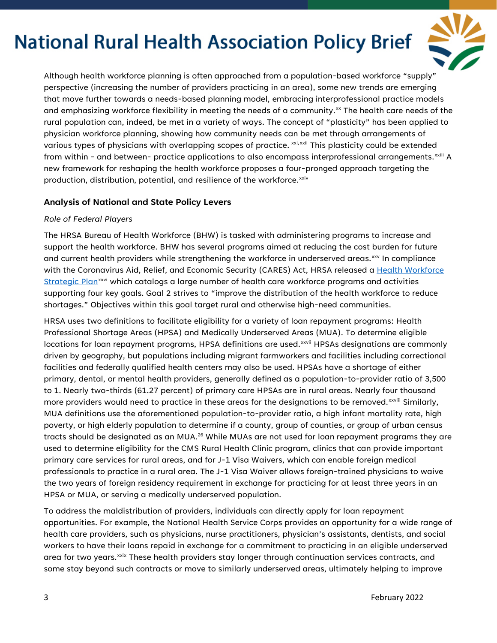

Although health workforce planning is often approached from a population-based workforce "supply" perspective (increasing the number of providers practicing in an area), some new trends are emerging that move further towards a needs-based planning model, embracing interprofessional practice models and emphasizing workforce flexibility in meeting the needs of a community.<sup>[xx](#page-10-19)</sup> The health care needs of the rural population can, indeed, be met in a variety of ways. The concept of "plasticity" has been applied to physician workforce planning, showing how community needs can be met through arrangements of various types of physicians with overlapping scopes of practice. [xxi](#page-10-20),[xxii](#page-10-21) This plasticity could be extended from within - and between- practice applications to also encompass interprofessional arrangements.<sup>xxiii</sup> [A](#page-10-22) new framework for reshaping the health workforce proposes a four-pronged approach targeting the production, distribution, potential, and resilience of the workforce.<sup>[xxiv](#page-11-0)</sup>

#### **Analysis of National and State Policy Levers**

#### *Role of Federal Players*

The HRSA Bureau of Health Workforce (BHW) is tasked with administering programs to increase and support the health workforce. BHW has several programs aimed at reducing the cost burden for future and current health providers while strengthening the workforce in underserved areas.[xxv](#page-11-1) In compliance with the Coronavirus Aid, Relief, and Economic Security (CARES) Act, HRSA released a Health Workforce [Strategic Plan](https://bhw.hrsa.gov/sites/default/files/bureau-health-workforce/about-us/hhs-health-workforce-strategic-plan-2021.pdf)<sup>[xxvi](#page-11-2)</sup> which catalogs a large number of health care workforce programs and activities supporting four key goals. Goal 2 strives to "improve the distribution of the health workforce to reduce shortages." Objectives within this goal target rural and otherwise high-need communities.

HRSA uses two definitions to facilitate eligibility for a variety of loan repayment programs: Health Professional Shortage Areas (HPSA) and Medically Underserved Areas (MUA). To determine eligible locations for loan repayment programs, [H](#page-11-3)PSA definitions are used.<sup>xxvii</sup> HPSAs designations are commonly more providers would need to practice in these areas for the designations to be removed.<sup>xxviii</sup> [S](#page-11-4)imilarly, driven by geography, but populations including migrant farmworkers and facilities including correctional facilities and federally qualified health centers may also be used. HPSAs have a shortage of either primary, dental, or mental health providers, generally defined as a population-to-provider ratio of 3,500 to 1. Nearly two-thirds (61.27 percent) of primary care HPSAs are in rural areas. Nearly four thousand MUA definitions use the aforementioned population-to-provider ratio, a high infant mortality rate, high poverty, or high elderly population to determine if a county, group of counties, or group of urban census tracts should be designated as an MUA.<sup>26</sup> While MUAs are not used for loan repayment programs they are used to determine eligibility for the CMS Rural Health Clinic program, clinics that can provide important primary care services for rural areas, and for J-1 Visa Waivers, which can enable foreign medical professionals to practice in a rural area. The J-1 Visa Waiver allows foreign-trained physicians to waive the two years of foreign residency requirement in exchange for practicing for at least three years in an HPSA or MUA, or serving a medically underserved population.

To address the maldistribution of providers, individuals can directly apply for loan repayment opportunities. For example, the National Health Service Corps provides an opportunity for a wide range of health care providers, such as physicians, nurse practitioners, physician's assistants, dentists, and social workers to have their loans repaid in exchange for a commitment to practicing in an eligible underserved area for two years.<sup>xxix</sup> These health providers stay longer through continuation services contracts, and some stay beyond such contracts or move to similarly underserved areas, ultimately helping to improve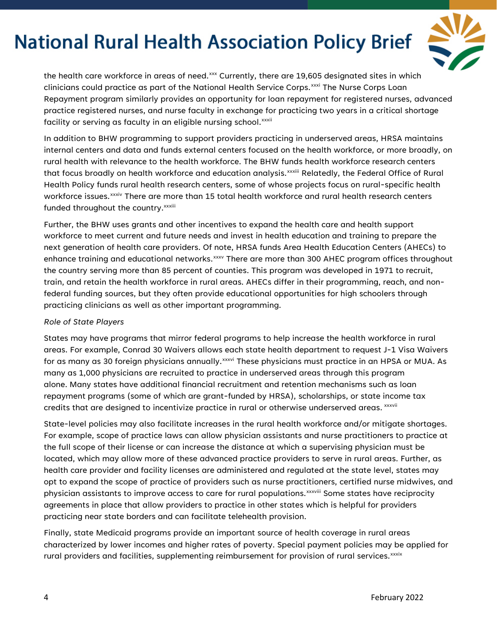

the health care workforce in areas of need. $^{\mathrm{xx}}$  Currently, there are 19,605 designated sites in which fac[i](#page-11-8)lity or serving as faculty in an eligible nursing school.<sup>xxxii</sup> clinicians could practice as part of the National Health Service Corps.<sup>[xxxi](#page-11-7)</sup> The Nurse Corps Loan Repayment program similarly provides an opportunity for loan repayment for registered nurses, advanced practice registered nurses, and nurse faculty in exchange for practicing two years in a critical shortage

In addition to BHW programming to support providers practicing in underserved areas, HRSA maintains internal centers and data and funds external centers focused on the health workforce, or more broadly, on rural health with relevance to the health workforce. The BHW funds health workforce research centers that focus broadly on health workforce and education analysis.<sup>xxxiii</sup> [R](#page-11-9)elatedly, the Federal Office of Rural workforce issues. $^{\mathsf{xxxiv}}$  [T](#page-11-10)here are more than 15 total health workforce and rural health research centers Health Policy funds rural health research centers, some of whose projects focus on rural-specific health funded throughout the country.<sup>xxxiii</sup>

Further, the BHW uses grants and other incentives to expand the health care and health support workforce to meet current and future needs and invest in health education and training to prepare the next generation of health care providers. Of note, HRSA funds Area Health Education Centers (AHECs) to enhance training and educational networks. [xxxv](#page-11-11) There are more than 300 AHEC program offices throughout the country serving more than 85 percent of counties. This program was developed in 1971 to recruit, train, and retain the health workforce in rural areas. AHECs differ in their programming, reach, and nonfederal funding sources, but they often provide educational opportunities for high schoolers through practicing clinicians as well as other important programming.

#### *Role of State Players*

States may have programs that mirror federal programs to help increase the health workforce in rural areas. For example, Conrad 30 Waivers allows each state health department to request J-1 Visa Waivers for as many as 30 foreign physicians annually. $^{\mathsf{xxxvi}}$  [T](#page-11-12)hese physicians must practice in an HPSA or MUA. As credits that are designed to incentivize practice in rural or otherwise underserved areas.  $^{\rm xxwii}$ many as 1,000 physicians are recruited to practice in underserved areas through this program alone. Many states have additional financial recruitment and retention mechanisms such as loan repayment programs (some of which are grant-funded by HRSA), scholarships, or state income tax

State-level policies may also facilitate increases in the rural health workforce and/or mitigate shortages. For example, scope of practice laws can allow physician assistants and nurse practitioners to practice at the full scope of their license or can increase the distance at which a supervising physician must be located, which may allow more of these advanced practice providers to serve in rural areas. Further, as health care provider and facility licenses are administered and regulated at the state level, states may opt to expand the scope of practice of providers such as nurse practitioners, certified nurse midwives, and physician assistants to improve access to care for rural populations.<sup>xxxviii</sup> Some states have reciprocity agreements in place that allow providers to practice in other states which is helpful for providers practicing near state borders and can facilitate telehealth provision.

Finally, state Medicaid programs provide an important source of health coverage in rural areas characterized by lower incomes and higher rates of poverty. Special payment policies may be applied for rural providers and facilities, supplementing reimbursement for provision of rural services. xxxix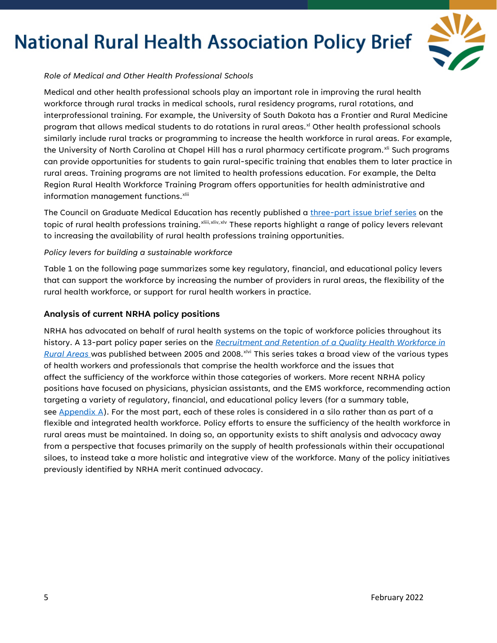

#### *Role of Medical and Other Health Professional Schools*

Medical and other health professional schools play an important role in improving the rural health workforce through rural tracks in medical schools, rural residency programs, rural rotations, and interprofessional training. For example, the University of South Dakota has a Frontier and Rural Medicine program that allows medical students to do rotations in rural areas.<sup>[xl](#page-11-13)</sup> Other health professional schools similarly include rural tracks or programming to increase the health workforce in rural areas. For example, the University of North Carolina at Chapel Hill has a rural pharmacy certificate program.<sup>xli</sup> Such programs can provide opportunities for students to gain rural-specific training that enables them to later practice in rural areas. Training programs are not limited to health professions education. For example, the Delta Region Rural Health Workforce Training Program offers opportunities for health administrative and information management functions.<sup>[xlii](#page-11-15)</sup>

The Council on Graduate Medical Education has recently published a [three-part issue brief series](https://www.hrsa.gov/advisory-committees/graduate-medical-edu/publications.html) on the topic of rural health professions training.<sup>xliii[,](#page-11-16)[xliv](#page-11-17),[xlv](#page-11-18)</sup> These reports highlight a range of policy levers relevant to increasing the availability of rural health professions training opportunities.

#### *Policy levers for building a sustainable workforce*

Table 1 on the following page summarizes some key regulatory, financial, and educational policy levers that can support the workforce by increasing the number of providers in rural areas, the flexibility of the rural health workforce, or support for rural health workers in practice.

#### **Analysis of current NRHA policy positions**

NRHA has advocated on behalf of rural health systems on the topic of workforce policies throughout its history. A 13-part policy paper series on the *[Recruitment and Retention of a Quality Health Workforce in](https://www.ruralhealth.us/advocate/policy-documents)  [Rural Areas](https://www.ruralhealth.us/advocate/policy-documents)* [w](https://www.ruralhealth.us/advocate/policy-documents)as published between 2005 and 2008.<sup>[xlvi](#page-11-19)</sup> This series takes a broad view of the various types of health workers and professionals that comprise the health workforce and the issues that affect the sufficiency of the workforce within those categories of workers. More recent NRHA policy positions have focused on physicians, physician assistants, and the EMS workforce, recommending action targeting a variety of regulatory, financial, and educational policy levers (for a summary table, see [Appendix A\)](bookmark://_8rsrn6vx2mrk/). For the most part, each of these roles is considered in a silo rather than as part of a flexible and integrated health workforce. Policy efforts to ensure the sufficiency of the health workforce in rural areas must be maintained. In doing so, an opportunity exists to shift analysis and advocacy away from a perspective that focuses primarily on the supply of health professionals within their occupational siloes, to instead take a more holistic and integrative view of the workforce. Many of the policy initiatives previously identified by NRHA merit continued advocacy.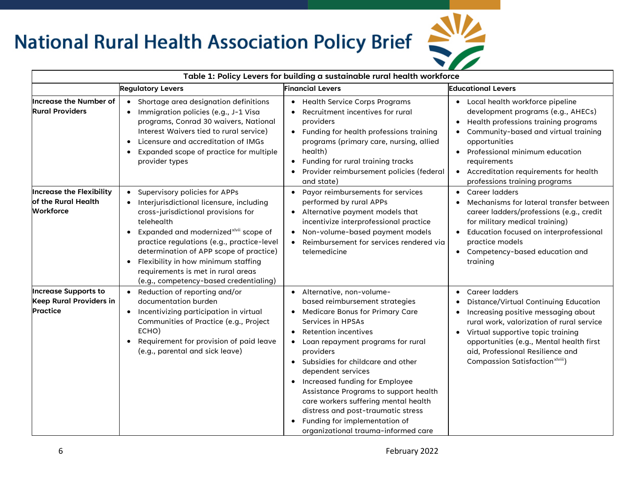

| Table 1: Policy Levers for building a sustainable rural health workforce   |                                                                                                                                                                                                                                                                                                                                                                                                                                   |                                                                                                                                                                                                                                                                                                                                                                                                                                                                                                                    |                                                                                                                                                                                                                                                                                                            |  |
|----------------------------------------------------------------------------|-----------------------------------------------------------------------------------------------------------------------------------------------------------------------------------------------------------------------------------------------------------------------------------------------------------------------------------------------------------------------------------------------------------------------------------|--------------------------------------------------------------------------------------------------------------------------------------------------------------------------------------------------------------------------------------------------------------------------------------------------------------------------------------------------------------------------------------------------------------------------------------------------------------------------------------------------------------------|------------------------------------------------------------------------------------------------------------------------------------------------------------------------------------------------------------------------------------------------------------------------------------------------------------|--|
|                                                                            | <b>Regulatory Levers</b>                                                                                                                                                                                                                                                                                                                                                                                                          | <b>Financial Levers</b>                                                                                                                                                                                                                                                                                                                                                                                                                                                                                            | <b>Educational Levers</b>                                                                                                                                                                                                                                                                                  |  |
| <b>Increase the Number of</b><br><b>Rural Providers</b>                    | • Shortage area designation definitions<br>Immigration policies (e.g., J-1 Visa<br>$\bullet$<br>programs, Conrad 30 waivers, National<br>Interest Waivers tied to rural service)<br>Licensure and accreditation of IMGs<br>$\bullet$<br>Expanded scope of practice for multiple<br>$\bullet$<br>provider types                                                                                                                    | • Health Service Corps Programs<br>Recruitment incentives for rural<br>providers<br>• Funding for health professions training<br>programs (primary care, nursing, allied<br>health)<br>Funding for rural training tracks<br>$\bullet$<br>Provider reimbursement policies (federal<br>and state)                                                                                                                                                                                                                    | • Local health workforce pipeline<br>development programs (e.g., AHECs)<br>Health professions training programs<br>• Community-based and virtual training<br>opportunities<br>• Professional minimum education<br>requirements<br>• Accreditation requirements for health<br>professions training programs |  |
| <b>Increase the Flexibility</b><br>of the Rural Health<br><b>Workforce</b> | • Supervisory policies for APPs<br>• Interjurisdictional licensure, including<br>cross-jurisdictional provisions for<br>telehealth<br>Expanded and modernized <sup>xlvii</sup> scope of<br>$\bullet$<br>practice regulations (e.g., practice-level<br>determination of APP scope of practice)<br>Flexibility in how minimum staffing<br>$\bullet$<br>requirements is met in rural areas<br>(e.g., competency-based credentialing) | • Payor reimbursements for services<br>performed by rural APPs<br>Alternative payment models that<br>incentivize interprofessional practice<br>Non-volume-based payment models<br>$\bullet$<br>Reimbursement for services rendered vig<br>telemedicine                                                                                                                                                                                                                                                             | • Career ladders<br>Mechanisms for lateral transfer between<br>career ladders/professions (e.g., credit<br>for military medical training)<br>• Education focused on interprofessional<br>practice models<br>• Competency-based education and<br>training                                                   |  |
| <b>Increase Supports to</b><br>Keep Rural Providers in<br><b>Practice</b>  | • Reduction of reporting and/or<br>documentation burden<br>Incentivizing participation in virtual<br>$\bullet$<br>Communities of Practice (e.g., Project<br>ECHO)<br>Requirement for provision of paid leave<br>$\bullet$<br>(e.g., parental and sick leave)                                                                                                                                                                      | • Alternative, non-volume-<br>based reimbursement strategies<br><b>Medicare Bonus for Primary Care</b><br>Services in HPSAs<br>Retention incentives<br>Loan repayment programs for rural<br>$\bullet$<br>providers<br>• Subsidies for childcare and other<br>dependent services<br>• Increased funding for Employee<br>Assistance Programs to support health<br>care workers suffering mental health<br>distress and post-traumatic stress<br>Funding for implementation of<br>organizational trauma-informed care | • Career ladders<br>Distance/Virtual Continuing Education<br>Increasing positive messaging about<br>rural work, valorization of rural service<br>• Virtual supportive topic training<br>opportunities (e.g., Mental health first<br>aid, Professional Resilience and<br>Compassion Satisfaction xlviii)    |  |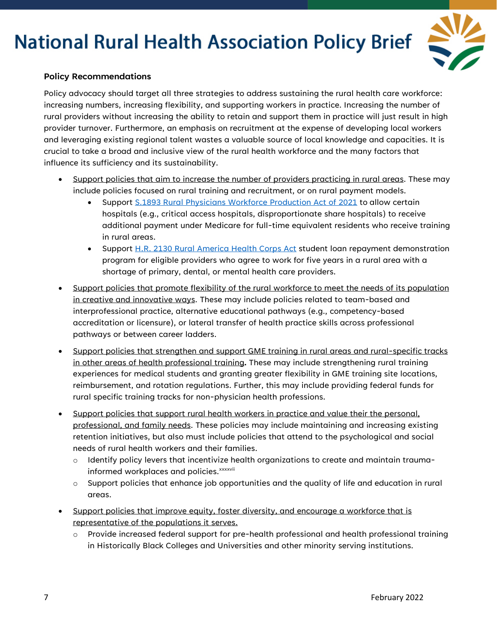

#### **Policy Recommendations**

Policy advocacy should target all three strategies to address sustaining the rural health care workforce: increasing numbers, increasing flexibility, and supporting workers in practice. Increasing the number of rural providers without increasing the ability to retain and support them in practice will just result in high provider turnover. Furthermore, an emphasis on recruitment at the expense of developing local workers and leveraging existing regional talent wastes a valuable source of local knowledge and capacities. It is crucial to take a broad and inclusive view of the rural health workforce and the many factors that influence its sufficiency and its sustainability.

- Support policies that aim to increase the number of providers practicing in rural areas. These may include policies focused on rural training and recruitment, or on rural payment models.
	- Support [S.1893 Rural Physicians Workforce Production Act of 2021](https://www.congress.gov/bill/117th-congress/senate-bill/1893?s=1&r=91) to allow certain hospitals (e.g., critical access hospitals, disproportionate share hospitals) to receive additional payment under Medicare for full-time equivalent residents who receive training in rural areas.
	- Support [H.R. 2130 Rural America Health Corps Act](https://www.congress.gov/bill/117th-congress/house-bill/2130?s=1&r=76) student loan repayment demonstration program for eligible providers who agree to work for five years in a rural area with a shortage of primary, dental, or mental health care providers.
- Support policies that promote flexibility of the rural workforce to meet the needs of its population in creative and innovative ways. These may include policies related to team-based and interprofessional practice, alternative educational pathways (e.g., competency-based accreditation or licensure), or lateral transfer of health practice skills across professional pathways or between career ladders.
- Support policies that strengthen and support GME training in rural areas and rural-specific tracks in other areas of health professional training**.** These may include strengthening rural training experiences for medical students and granting greater flexibility in GME training site locations, reimbursement, and rotation regulations. Further, this may include providing federal funds for rural specific training tracks for non-physician health professions.
- Support policies that support rural health workers in practice and value their the personal, professional, and family needs. These policies may include maintaining and increasing existing retention initiatives, but also must include policies that attend to the psychological and social needs of rural health workers and their families.
	- $\circ$  Identify policy levers that incentivize health organizations to create and maintain traumainformed workplaces and policies.<sup>xxxxvii</sup>
	- o Support policies that enhance job opportunities and the quality of life and education in rural areas.
- Support policies that improve equity, foster diversity, and encourage a workforce that is representative of the populations it serves.
	- o Provide increased federal support for pre-health professional and health professional training in Historically Black Colleges and Universities and other minority serving institutions.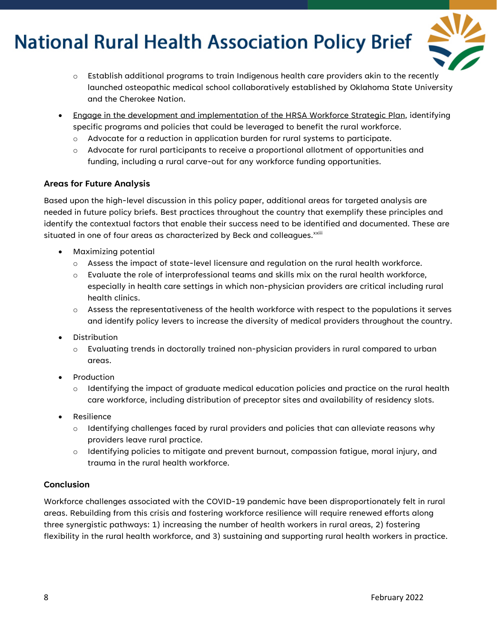

- o Establish additional programs to train Indigenous health care providers akin to the recently launched osteopathic medical school collaboratively established by Oklahoma State University and the Cherokee Nation.
- Engage in the development and implementation of the HRSA Workforce Strategic Plan, identifying specific programs and policies that could be leveraged to benefit the rural workforce.
	- o Advocate for a reduction in application burden for rural systems to participate.
	- $\circ$  Advocate for rural participants to receive a proportional allotment of opportunities and funding, including a rural carve-out for any workforce funding opportunities.

#### **Areas for Future Analysis**

Based upon the high-level discussion in this policy paper, additional areas for targeted analysis are needed in future policy briefs. Best practices throughout the country that exemplify these principles and identify the contextual factors that enable their success need to be identified and documented. These are situated in one of four areas as characterized by Beck and colleagues.<sup>xxiii</sup>

- Maximizing potential
	- o Assess the impact of state-level licensure and regulation on the rural health workforce.
	- $\circ$  Evaluate the role of interprofessional teams and skills mix on the rural health workforce, especially in health care settings in which non-physician providers are critical including rural health clinics.
	- $\circ$  Assess the representativeness of the health workforce with respect to the populations it serves and identify policy levers to increase the diversity of medical providers throughout the country.
- Distribution
	- $\circ$  Evaluating trends in doctorally trained non-physician providers in rural compared to urban areas.
- Production
	- $\circ$  Identifying the impact of graduate medical education policies and practice on the rural health care workforce, including distribution of preceptor sites and availability of residency slots.
- **Resilience** 
	- $\circ$  Identifying challenges faced by rural providers and policies that can alleviate reasons why providers leave rural practice.
	- o Identifying policies to mitigate and prevent burnout, compassion fatigue, moral injury, and trauma in the rural health workforce.

#### **Conclusion**

Workforce challenges associated with the COVID-19 pandemic have been disproportionately felt in rural areas. Rebuilding from this crisis and fostering workforce resilience will require renewed efforts along three synergistic pathways: 1) increasing the number of health workers in rural areas, 2) fostering flexibility in the rural health workforce, and 3) sustaining and supporting rural health workers in practice.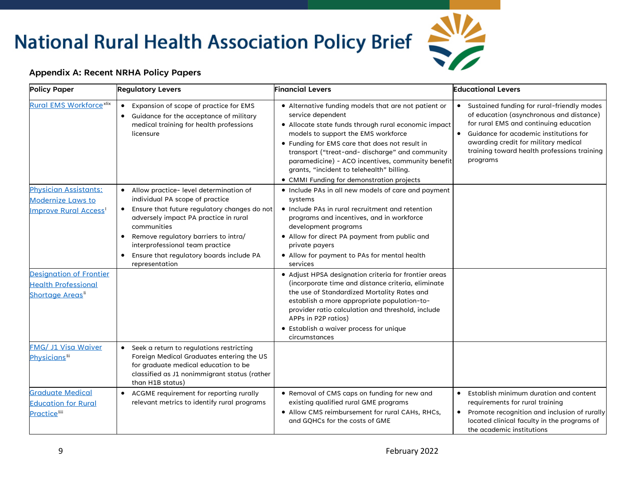# **Appendix A: Recent NRHA Policy Papers**



| <b>Policy Paper</b>                                                                           | <b>Regulatory Levers</b>                                                                                                                                                                                                                                                                                                                             | <b>Financial Levers</b>                                                                                                                                                                                                                                                                                                                                                                                                      | <b>Educational Levers</b>                                                                                                                                                                                                                                                     |
|-----------------------------------------------------------------------------------------------|------------------------------------------------------------------------------------------------------------------------------------------------------------------------------------------------------------------------------------------------------------------------------------------------------------------------------------------------------|------------------------------------------------------------------------------------------------------------------------------------------------------------------------------------------------------------------------------------------------------------------------------------------------------------------------------------------------------------------------------------------------------------------------------|-------------------------------------------------------------------------------------------------------------------------------------------------------------------------------------------------------------------------------------------------------------------------------|
| <b>Rural EMS Workforce<sup>xlix</sup></b>                                                     | Expansion of scope of practice for EMS<br>$\bullet$<br>Guidance for the acceptance of military<br>medical training for health professions<br>licensure                                                                                                                                                                                               | • Alternative funding models that are not patient or<br>service dependent<br>• Allocate state funds through rural economic impact<br>models to support the EMS workforce<br>• Funding for EMS care that does not result in<br>transport ("treat-and- discharge" and community<br>paramedicine) - ACO incentives, community benefit<br>grants, "incident to telehealth" billing.<br>• CMMI Funding for demonstration projects | Sustained funding for rural-friendly modes<br>of education (asynchronous and distance)<br>for rural EMS and continuing education<br>Guidance for academic institutions for<br>awarding credit for military medical<br>training toward health professions training<br>programs |
| <b>Physician Assistants:</b><br><b>Modernize Laws to</b><br>Improve Rural Access <sup>1</sup> | Allow practice- level determination of<br>$\bullet$<br>individual PA scope of practice<br>Ensure that future regulatory changes do not<br>$\bullet$<br>adversely impact PA practice in rural<br>communities<br>Remove regulatory barriers to intra/<br>interprofessional team practice<br>Ensure that regulatory boards include PA<br>representation | • Include PAs in all new models of care and payment<br>systems<br>• Include PAs in rural recruitment and retention<br>programs and incentives, and in workforce<br>development programs<br>• Allow for direct PA payment from public and<br>private payers<br>• Allow for payment to PAs for mental health<br>services                                                                                                       |                                                                                                                                                                                                                                                                               |
| <b>Designation of Frontier</b><br><b>Health Professional</b><br>Shortage Areas <sup>li</sup>  |                                                                                                                                                                                                                                                                                                                                                      | • Adjust HPSA designation criteria for frontier areas<br>(incorporate time and distance criteria, eliminate<br>the use of Standardized Mortality Rates and<br>establish a more appropriate population-to-<br>provider ratio calculation and threshold, include<br>APPs in P2P ratios)<br>• Establish a waiver process for unique<br>circumstances                                                                            |                                                                                                                                                                                                                                                                               |
| FMG/ J1 Visa Waiver<br><b>Physicians</b> <sup>lii</sup>                                       | • Seek a return to regulations restricting<br>Foreign Medical Graduates entering the US<br>for graduate medical education to be<br>classified as J1 nonimmigrant status (rather<br>than H1B status)                                                                                                                                                  |                                                                                                                                                                                                                                                                                                                                                                                                                              |                                                                                                                                                                                                                                                                               |
| <b>Graduate Medical</b><br><b>Education for Rural</b><br><b>Practiceliii</b>                  | ACGME requirement for reporting rurally<br>relevant metrics to identify rural programs                                                                                                                                                                                                                                                               | • Removal of CMS caps on funding for new and<br>existing qualified rural GME programs<br>• Allow CMS reimbursement for rural CAHs, RHCs,<br>and GQHCs for the costs of GME                                                                                                                                                                                                                                                   | Establish minimum duration and content<br>requirements for rural training<br>Promote recognition and inclusion of rurally<br>located clinical faculty in the programs of<br>the academic institutions                                                                         |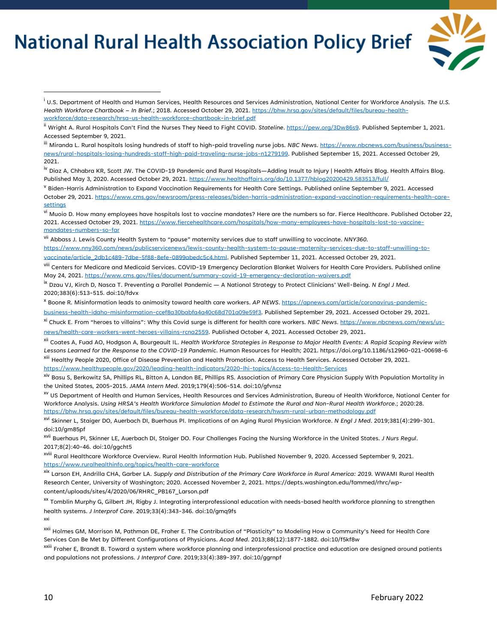

<sup>i</sup> U.S. Department of Health and Human Services, Health Resources and Services Administration, National Center for Workforce Analysis. *The U.S. Health Workforce Chartbook – In Brief*.; 2018. Accessed October 29, 2021[. https://bhw.hrsa.gov/sites/default/files/bureau-health](https://bhw.hrsa.gov/sites/default/files/bureau-health-workforce/data-research/hrsa-us-health-workforce-chartbook-in-brief.pdf)[workforce/data-research/hrsa-us-health-workforce-chartbook-in-brief.pdf](https://bhw.hrsa.gov/sites/default/files/bureau-health-workforce/data-research/hrsa-us-health-workforce-chartbook-in-brief.pdf)

iii Miranda L. Rural hospitals losing hundreds of staff to high-paid traveling nurse jobs. *NBC News*[. https://www.nbcnews.com/business/business](https://www.nbcnews.com/business/business-news/rural-hospitals-losing-hundreds-staff-high-paid-traveling-nurse-jobs-n1279199)[news/rural-hospitals-losing-hundreds-staff-high-paid-traveling-nurse-jobs-n1279199.](https://www.nbcnews.com/business/business-news/rural-hospitals-losing-hundreds-staff-high-paid-traveling-nurse-jobs-n1279199) Published September 15, 2021. Accessed October 29, 2021.

<sup>iv</sup> Diaz A, Chhabra KR, Scott JW. The COVID-19 Pandemic and Rural Hospitals—Adding Insult to Injury | Health Affairs Blog. Health Affairs Blog. Published May 3, 2020. Accessed October 29, 2021[. https://www.healthaffairs.org/do/10.1377/hblog20200429.583513/full/](https://www.healthaffairs.org/do/10.1377/hblog20200429.583513/full/)

<sup>V</sup> Biden-Harris Administration to Expand Vaccination Requirements for Health Care Settings. Published online September 9, 2021. Accessed October 29, 2021[. https://www.cms.gov/newsroom/press-releases/biden-harris-administration-expand-vaccination-requirements-health-care](https://www.cms.gov/newsroom/press-releases/biden-harris-administration-expand-vaccination-requirements-health-care-settings)[settings](https://www.cms.gov/newsroom/press-releases/biden-harris-administration-expand-vaccination-requirements-health-care-settings)

<sup>vi</sup> Muoio D. How many employees have hospitals lost to vaccine mandates? Here are the numbers so far. Fierce Healthcare. Published October 22, 2021. Accessed October 29, 2021. [https://www.fiercehealthcare.com/hospitals/how-many-employees-have-hospitals-lost-to-vaccine](https://www.fiercehealthcare.com/hospitals/how-many-employees-have-hospitals-lost-to-vaccine-mandates-numbers-so-far)[mandates-numbers-so-far](https://www.fiercehealthcare.com/hospitals/how-many-employees-have-hospitals-lost-to-vaccine-mandates-numbers-so-far)

vii Abbass J. Lewis County Health System to "pause" maternity services due to staff unwilling to vaccinate. *NNY360*. [https://www.nny360.com/news/publicservicenews/lewis-county-health-system-to-pause-maternity-services-due-to-staff-unwilling-to-](https://www.nny360.com/news/publicservicenews/lewis-county-health-system-to-pause-maternity-services-due-to-staff-unwilling-to-vaccinate/article_2db1c489-7dbe-5f88-8efe-0899abedc5c4.html)

[vaccinate/article\\_2db1c489-7dbe-5f88-8efe-0899abedc5c4.html.](https://www.nny360.com/news/publicservicenews/lewis-county-health-system-to-pause-maternity-services-due-to-staff-unwilling-to-vaccinate/article_2db1c489-7dbe-5f88-8efe-0899abedc5c4.html) Published September 11, 2021. Accessed October 29, 2021.

viii Centers for Medicare and Medicaid Services. COVID-19 Emergency Declaration Blanket Waivers for Health Care Providers. Published online May 24, 2021[. https://www.cms.gov/files/document/summary-covid-19-emergency-declaration-waivers.pdf](https://www.cms.gov/files/document/summary-covid-19-emergency-declaration-waivers.pdf)

ix Dzau VJ, Kirch D, Nasca T. Preventing a Parallel Pandemic — A National Strategy to Protect Clinicians' Well-Being. *N Engl J Med*. 2020;383(6):513-515. doi:10/fdvx

<sup>x</sup> Boone R. Misinformation leads to animosity toward health care workers. *AP NEWS*[. https://apnews.com/article/coronavirus-pandemic-](https://apnews.com/article/coronavirus-pandemic-business-health-idaho-misinformation-ccef8a30babfa4a40c68d701a09e59f3)

[business-health-idaho-misinformation-ccef8a30babfa4a40c68d701a09e59f3.](https://apnews.com/article/coronavirus-pandemic-business-health-idaho-misinformation-ccef8a30babfa4a40c68d701a09e59f3) Published September 29, 2021. Accessed October 29, 2021.

xi Chuck E. From "heroes to villains": Why this Covid surge is different for health care workers. *NBC News*[. https://www.nbcnews.com/news/us](https://www.nbcnews.com/news/us-news/health-care-workers-went-heroes-villains-rcna2559)[news/health-care-workers-went-heroes-villains-rcna2559.](https://www.nbcnews.com/news/us-news/health-care-workers-went-heroes-villains-rcna2559) Published October 4, 2021. Accessed October 29, 2021.

xii Coates A, Fuad AO, Hodgson A, Bourgeault IL. *Health Workforce Strategies in Response to Major Health Events: A Rapid Scoping Review with Lessons Learned for the Response to the COVID-19 Pandemic*. Human Resources for Health; 2021. https://doi.org/10.1186/s12960-021-00698-6

xiii Healthy People 2020, Office of Disease Prevention and Health Promotion. Access to Health Services. Accessed October 29, 2021. <https://www.healthypeople.gov/2020/leading-health-indicators/2020-lhi-topics/Access-to-Health-Services>

xiv Basu S, Berkowitz SA, Phillips RL, Bitton A, Landon BE, Phillips RS. Association of Primary Care Physician Supply With Population Mortality in the United States, 2005-2015. *JAMA Intern Med*. 2019;179(4):506-514. doi:10/gfvnsz

xv US Department of Health and Human Services, Health Resources and Services Administration, Bureau of Health Workforce, National Center for Workforce Analysis. *Using HRSA's Health Workforce Simulation Model to Estimate the Rural and Non-Rural Health Workforce*.; 2020:28. <https://bhw.hrsa.gov/sites/default/files/bureau-health-workforce/data-research/hwsm-rural-urban-methodology.pdf>

xvi Skinner L, Staiger DO, Auerbach DI, Buerhaus PI. Implications of an Aging Rural Physician Workforce. *N Engl J Med*. 2019;381(4):299-301. doi:10/gm85pf

xvii Buerhaus PI, Skinner LE, Auerbach DI, Staiger DO. Four Challenges Facing the Nursing Workforce in the United States. *J Nurs Regul*. 2017;8(2):40-46. doi:10/ggcht5

xviii Rural Healthcare Workforce Overview. Rural Health Information Hub. Published November 9, 2020. Accessed September 9, 2021. <https://www.ruralhealthinfo.org/topics/health-care-workforce>

xix Larson EH, Andrilla CHA, Garber LA. *Supply and Distribution of the Primary Care Workforce in Rural America: 2019.* WWAMI Rural Health Research Center, University of Washington; 2020. Accessed November 2, 2021. https://depts.washington.edu/fammed/rhrc/wpcontent/uploads/sites/4/2020/06/RHRC\_PB167\_Larson.pdf

xx Tomblin Murphy G, Gilbert JH, Rigby J. Integrating interprofessional education with needs-based health workforce planning to strengthen health systems. *J Interprof Care*. 2019;33(4):343-346. doi:10/gmq9fs

xxi

xxii Holmes GM, Morrison M, Pathman DE, Fraher E. The Contribution of "Plasticity" to Modeling How a Community's Need for Health Care Services Can Be Met by Different Configurations of Physicians. *Acad Med*. 2013;88(12):1877-1882. doi:10/f5kf8w

<sup>xxiii</sup> Fraher E, Brandt B. Toward a system where workforce planning and interprofessional practice and education are designed around patients and populations not professions. *J Interprof Care*. 2019;33(4):389-397. doi:10/ggrnpf

ii Wright A. Rural Hospitals Can't Find the Nurses They Need to Fight COVID. *Stateline*[. https://pew.org/3Dw86s9.](https://pew.org/3Dw86s9) Published September 1, 2021. Accessed September 9, 2021.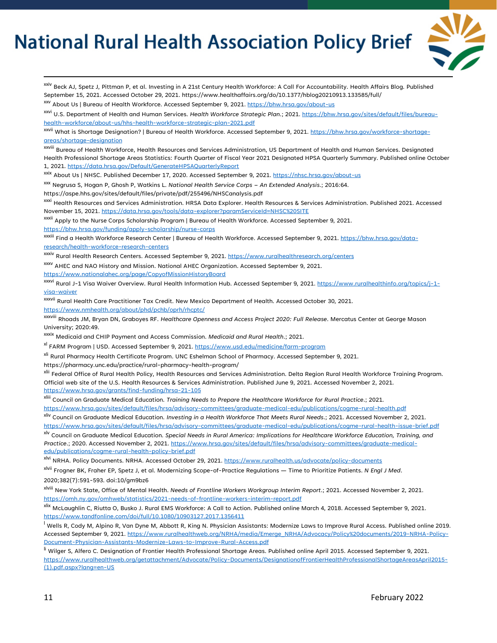

<sup>xxiv</sup> Beck AJ, Spetz J, Pittman P, et al. Investing in A 21st Century Health Workforce: A Call For Accountability. Health Affairs Blog. Published September 15, 2021. Accessed October 29, 2021. https://www.healthaffairs.org/do/10.1377/hblog20210913.133585/full/

<span id="page-10-0"></span>xxv About Us | Bureau of Health Workforce. Accessed September 9, 2021.<https://bhw.hrsa.gov/about-us>

xxvi U.S. Department of Health and Human Services. *Health Workforce Strategic Plan*.; 2021[. https://bhw.hrsa.gov/sites/default/files/bureau](https://bhw.hrsa.gov/sites/default/files/bureau-health-workforce/about-us/hhs-health-workforce-strategic-plan-2021.pdf)[health-workforce/about-us/hhs-health-workforce-strategic-plan-2021.pdf](https://bhw.hrsa.gov/sites/default/files/bureau-health-workforce/about-us/hhs-health-workforce-strategic-plan-2021.pdf)

<span id="page-10-1"></span>xxvii What is Shortage Designation? | Bureau of Health Workforce. Accessed September 9, 2021. [https://bhw.hrsa.gov/workforce-shortage](https://bhw.hrsa.gov/workforce-shortage-areas/shortage-designation)[areas/shortage-designation](https://bhw.hrsa.gov/workforce-shortage-areas/shortage-designation)

<span id="page-10-2"></span>xxviii Bureau of Health Workforce, Health Resources and Services Administration, US Department of Health and Human Services. Designated Health Professional Shortage Areas Statistics: Fourth Quarter of Fiscal Year 2021 Designated HPSA Quarterly Summary. Published online October 1, 2021[. https://data.hrsa.gov/Default/GenerateHPSAQuarterlyReport](https://data.hrsa.gov/Default/GenerateHPSAQuarterlyReport)

<span id="page-10-3"></span>xxix About Us | NHSC. Published December 17, 2020. Accessed September 9, 2021[. https://nhsc.hrsa.gov/about-us](https://nhsc.hrsa.gov/about-us)

<span id="page-10-4"></span>xxx Negrusa S, Hogan P, Ghosh P, Watkins L. *National Health Service Corps – An Extended Analysis*.; 2016:64. https://aspe.hhs.gov/sites/default/files/private/pdf/255496/NHSCanalysis.pdf

xxxi Health Resources and Services Administration. HRSA Data Explorer. Health Resources & Services Administration. Published 2021. Accessed November 15, 2021[. https://data.hrsa.gov/tools/data-explorer?paramServiceId=NHSC%20SITE](https://data.hrsa.gov/tools/data-explorer?paramServiceId=NHSC%20SITE)

<span id="page-10-5"></span>xxxii Apply to the Nurse Corps Scholarship Program | Bureau of Health Workforce. Accessed September 9, 2021.

<https://bhw.hrsa.gov/funding/apply-scholarship/nurse-corps>

<span id="page-10-6"></span>xxxiii Find a Health Workforce Research Center | Bureau of Health Workforce. Accessed September 9, 2021. [https://bhw.hrsa.gov/data](https://bhw.hrsa.gov/data-research/health-workforce-research-centers)[research/health-workforce-research-centers](https://bhw.hrsa.gov/data-research/health-workforce-research-centers)

xxxiv Rural Health Research Centers. Accessed September 9, 2021.<https://www.ruralhealthresearch.org/centers>

<span id="page-10-7"></span>xxxv AHEC and NAO History and Mission. National AHEC Organization. Accessed September 9, 2021. <https://www.nationalahec.org/page/CopyofMissionHistoryBoard>

<span id="page-10-8"></span>xxxvi Rural J-1 Visa Waiver Overview. Rural Health Information Hub. Accessed September 9, 2021. [https://www.ruralhealthinfo.org/topics/j-1](https://www.ruralhealthinfo.org/topics/j-1-visa-waiver) [visa-waiver](https://www.ruralhealthinfo.org/topics/j-1-visa-waiver)

<span id="page-10-9"></span>xxxvii Rural Health Care Practitioner Tax Credit. New Mexico Department of Health. Accessed October 30, 2021. <https://www.nmhealth.org/about/phd/pchb/oprh/rhcptc/>

<span id="page-10-10"></span>xxxviii Rhoads JM, Bryan DN, Graboyes RF. *Healthcare Openness and Access Project 2020: Full Release*. Mercatus Center at George Mason University; 2020:49.

<span id="page-10-11"></span>xxxix Medicaid and CHIP Payment and Access Commission. *Medicaid and Rural Health*.; 2021.

xl FARM Program | USD. Accessed September 9, 2021[. https://www.usd.edu/medicine/farm-program](https://www.usd.edu/medicine/farm-program)

<span id="page-10-12"></span><sup>xli</sup> Rural Pharmacy Health Certificate Program. UNC Eshelman School of Pharmacy. Accessed September 9, 2021.

https://pharmacy.unc.edu/practice/rural-pharmacy-health-program/

<span id="page-10-13"></span><sup>xlii</sup> Federal Office of Rural Health Policy, Health Resources and Services Administration. Delta Region Rural Health Workforce Training Program. Official web site of the U.S. Health Resources & Services Administration. Published June 9, 2021. Accessed November 2, 2021. <https://www.hrsa.gov/grants/find-funding/hrsa-21-105>

<span id="page-10-14"></span>xliii Council on Graduate Medical Education. *Training Needs to Prepare the Healthcare Workforce for Rural Practice*.; 2021. <https://www.hrsa.gov/sites/default/files/hrsa/advisory-committees/graduate-medical-edu/publications/cogme-rural-health.pdf>

<span id="page-10-15"></span>xliv Council on Graduate Medical Education. *Investing in a Health Workforce That Meets Rural Needs*.; 2021. Accessed November 2, 2021. <https://www.hrsa.gov/sites/default/files/hrsa/advisory-committees/graduate-medical-edu/publications/cogme-rural-health-issue-brief.pdf>

<span id="page-10-16"></span>xlv Council on Graduate Medical Education. *Special Needs in Rural America: Implications for Healthcare Workforce Education, Training, and Practice*.; 2020. Accessed November 2, 2021. [https://www.hrsa.gov/sites/default/files/hrsa/advisory-committees/graduate-medical](https://www.hrsa.gov/sites/default/files/hrsa/advisory-committees/graduate-medical-edu/publications/cogme-rural-health-policy-brief.pdf)[edu/publications/cogme-rural-health-policy-brief.pdf](https://www.hrsa.gov/sites/default/files/hrsa/advisory-committees/graduate-medical-edu/publications/cogme-rural-health-policy-brief.pdf)

<span id="page-10-17"></span>xlvi NRHA. Policy Documents. NRHA. Accessed October 29, 2021[. https://www.ruralhealth.us/advocate/policy-documents](https://www.ruralhealth.us/advocate/policy-documents)

<span id="page-10-18"></span>xlvii Frogner BK, Fraher EP, Spetz J, et al. Modernizing Scope-of-Practice Regulations — Time to Prioritize Patients. *N Engl J Med*. 2020;382(7):591-593. doi:10/gm9bz6

xlviii New York State, Office of Mental Health. *Needs of Frontline Workers Workgroup Interim Report*.; 2021. Accessed November 2, 2021. <https://omh.ny.gov/omhweb/statistics/2021-needs-of-frontline-workers-interim-report.pdf>

<span id="page-10-19"></span>xlix McLaughlin C, Riutta O, Busko J. Rural EMS Workforce: A Call to Action. Published online March 4, 2018. Accessed September 9, 2021. <https://www.tandfonline.com/doi/full/10.1080/10903127.2017.1356411>

<span id="page-10-21"></span><span id="page-10-20"></span> $^{\text{I}}$  Wells R, Cody M, Alpino R, Van Dyne M, Abbott R, King N. Physician Assistants: Modernize Laws to Improve Rural Access. Published online 2019. Accessed September 9, 2021. [https://www.ruralhealthweb.org/NRHA/media/Emerge\\_NRHA/Advocacy/Policy%20documents/2019-NRHA-Policy-](https://www.ruralhealthweb.org/NRHA/media/Emerge_NRHA/Advocacy/Policy%20documents/2019-NRHA-Policy-Document-Physician-Assistants-Modernize-Laws-to-Improve-Rural-Access.pdf)[Document-Physician-Assistants-Modernize-Laws-to-Improve-Rural-Access.pdf](https://www.ruralhealthweb.org/NRHA/media/Emerge_NRHA/Advocacy/Policy%20documents/2019-NRHA-Policy-Document-Physician-Assistants-Modernize-Laws-to-Improve-Rural-Access.pdf)

<span id="page-10-22"></span>li Wilger S. Alfero C. Designation of Frontier Health Professional Shortage Areas. Published online April 2015. Accessed September 9, 2021. [https://www.ruralhealthweb.org/getattachment/Advocate/Policy-Documents/DesignationofFrontierHealthProfessionalShortageAreasApril2015-](https://www.ruralhealthweb.org/getattachment/Advocate/Policy-Documents/DesignationofFrontierHealthProfessionalShortageAreasApril2015-(1).pdf.aspx?lang=en-US) [\(1\).pdf.aspx?lang=en-US](https://www.ruralhealthweb.org/getattachment/Advocate/Policy-Documents/DesignationofFrontierHealthProfessionalShortageAreasApril2015-(1).pdf.aspx?lang=en-US)